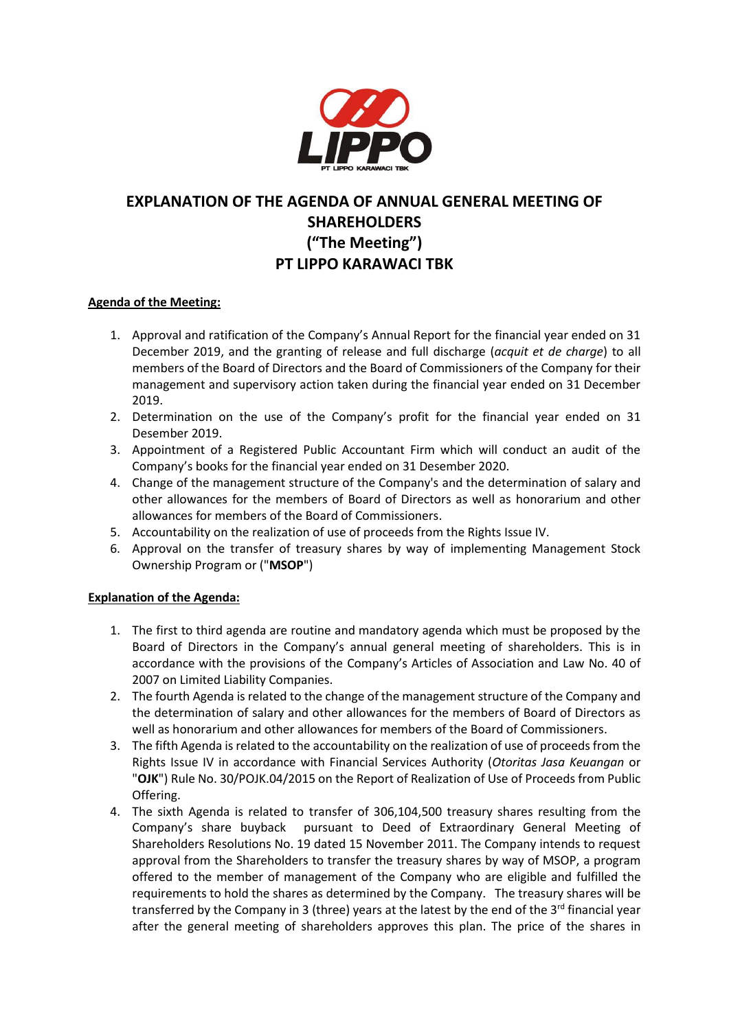

# **EXPLANATION OF THE AGENDA OF ANNUAL GENERAL MEETING OF SHAREHOLDERS ("The Meeting") PT LIPPO KARAWACI TBK**

## **Agenda of the Meeting:**

- 1. Approval and ratification of the Company's Annual Report for the financial year ended on 31 December 2019, and the granting of release and full discharge (*acquit et de charge*) to all members of the Board of Directors and the Board of Commissioners of the Company for their management and supervisory action taken during the financial year ended on 31 December 2019.
- 2. Determination on the use of the Company's profit for the financial year ended on 31 Desember 2019.
- 3. Appointment of a Registered Public Accountant Firm which will conduct an audit of the Company's books for the financial year ended on 31 Desember 2020.
- 4. Change of the management structure of the Company's and the determination of salary and other allowances for the members of Board of Directors as well as honorarium and other allowances for members of the Board of Commissioners.
- 5. Accountability on the realization of use of proceeds from the Rights Issue IV.
- 6. Approval on the transfer of treasury shares by way of implementing Management Stock Ownership Program or ("**MSOP**")

# **Explanation of the Agenda:**

- 1. The first to third agenda are routine and mandatory agenda which must be proposed by the Board of Directors in the Company's annual general meeting of shareholders. This is in accordance with the provisions of the Company's Articles of Association and Law No. 40 of 2007 on Limited Liability Companies.
- 2. The fourth Agenda is related to the change of the management structure of the Company and the determination of salary and other allowances for the members of Board of Directors as well as honorarium and other allowances for members of the Board of Commissioners.
- 3. The fifth Agenda is related to the accountability on the realization of use of proceeds from the Rights Issue IV in accordance with Financial Services Authority (*Otoritas Jasa Keuangan* or "**OJK**") Rule No. 30/POJK.04/2015 on the Report of Realization of Use of Proceeds from Public Offering.
- 4. The sixth Agenda is related to transfer of 306,104,500 treasury shares resulting from the Company's share buyback pursuant to Deed of Extraordinary General Meeting of Shareholders Resolutions No. 19 dated 15 November 2011. The Company intends to request approval from the Shareholders to transfer the treasury shares by way of MSOP, a program offered to the member of management of the Company who are eligible and fulfilled the requirements to hold the shares as determined by the Company. The treasury shares will be transferred by the Company in 3 (three) years at the latest by the end of the  $3<sup>rd</sup>$  financial year after the general meeting of shareholders approves this plan. The price of the shares in